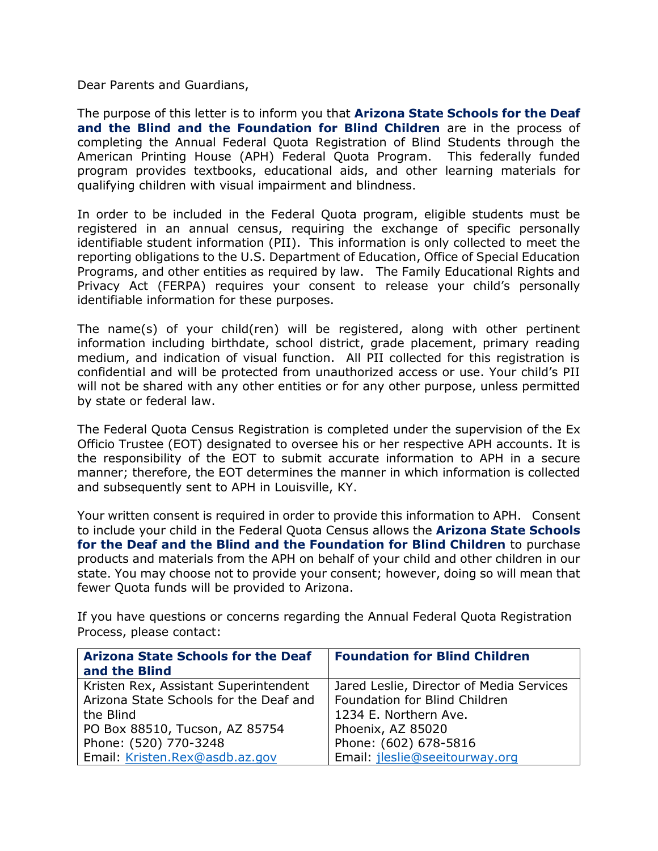Dear Parents and Guardians,

The purpose of this letter is to inform you that **Arizona State Schools for the Deaf and the Blind and the Foundation for Blind Children** are in the process of completing the Annual Federal Quota Registration of Blind Students through the American Printing House (APH) Federal Quota Program. This federally funded program provides textbooks, educational aids, and other learning materials for qualifying children with visual impairment and blindness.

In order to be included in the Federal Quota program, eligible students must be registered in an annual census, requiring the exchange of specific personally identifiable student information (PII). This information is only collected to meet the reporting obligations to the U.S. Department of Education, Office of Special Education Programs, and other entities as required by law. The Family Educational Rights and Privacy Act (FERPA) requires your consent to release your child's personally identifiable information for these purposes.

The name(s) of your child(ren) will be registered, along with other pertinent information including birthdate, school district, grade placement, primary reading medium, and indication of visual function. All PII collected for this registration is confidential and will be protected from unauthorized access or use. Your child's PII will not be shared with any other entities or for any other purpose, unless permitted by state or federal law.

The Federal Quota Census Registration is completed under the supervision of the Ex Officio Trustee (EOT) designated to oversee his or her respective APH accounts. It is the responsibility of the EOT to submit accurate information to APH in a secure manner; therefore, the EOT determines the manner in which information is collected and subsequently sent to APH in Louisville, KY.

Your written consent is required in order to provide this information to APH. Consent to include your child in the Federal Quota Census allows the **Arizona State Schools for the Deaf and the Blind and the Foundation for Blind Children** to purchase products and materials from the APH on behalf of your child and other children in our state. You may choose not to provide your consent; however, doing so will mean that fewer Quota funds will be provided to Arizona.

If you have questions or concerns regarding the Annual Federal Quota Registration Process, please contact:

| <b>Arizona State Schools for the Deaf</b> | <b>Foundation for Blind Children</b>     |
|-------------------------------------------|------------------------------------------|
| and the Blind                             |                                          |
| Kristen Rex, Assistant Superintendent     | Jared Leslie, Director of Media Services |
| Arizona State Schools for the Deaf and    | Foundation for Blind Children            |
| the Blind                                 | 1234 E. Northern Ave.                    |
| PO Box 88510, Tucson, AZ 85754            | Phoenix, AZ 85020                        |
| Phone: (520) 770-3248                     | Phone: (602) 678-5816                    |
| Email: Kristen.Rex@asdb.az.gov            | Email: jleslie@seeitourway.org           |